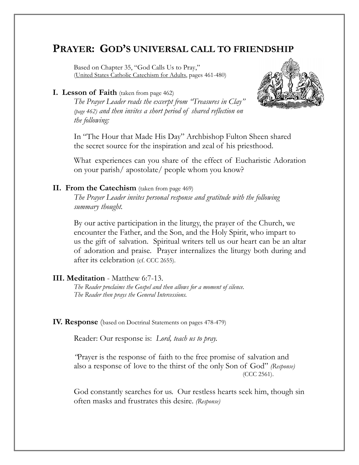# **PRAYER: GOD'S UNIVERSAL CALL TO FRIENDSHIP**

Based on Chapter 35, "God Calls Us to Pray," (United States Catholic Catechism for Adults, pages 461-480)

#### **I. Lesson of Faith** (taken from page 462)

 *The Prayer Leader reads the excerpt from "Treasures in Clay" (page 462) and then invites a short period of shared reflection on the following:*



 In "The Hour that Made His Day" Archbishop Fulton Sheen shared the secret source for the inspiration and zeal of his priesthood.

 What experiences can you share of the effect of Eucharistic Adoration on your parish/ apostolate/ people whom you know?

### **II. From the Catechism** (taken from page 469)

*The Prayer Leader invites personal response and gratitude with the following summary thought.*

 By our active participation in the liturgy, the prayer of the Church, we encounter the Father, and the Son, and the Holy Spirit, who impart to us the gift of salvation. Spiritual writers tell us our heart can be an altar of adoration and praise. Prayer internalizes the liturgy both during and after its celebration (cf. CCC 2655).

## **III. Meditation** - Matthew 6:7-13.

*The Reader proclaims the Gospel and then allows for a moment of silence. The Reader then prays the General Intercessions.*

**IV. Response** (based on Doctrinal Statements on pages 478-479)

Reader: Our response is: *Lord, teach us to pray.*

 *"*Prayer is the response of faith to the free promise of salvation and also a response of love to the thirst of the only Son of God" *(Response)* (CCC 2561).

 God constantly searches for us. Our restless hearts seek him, though sin often masks and frustrates this desire. *(Response)*